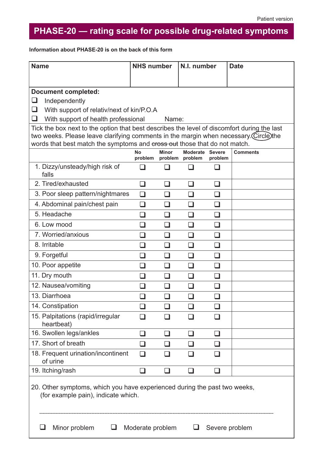$\overline{\phantom{a}}$ 

## **PHASE-20 — rating scale for possible drug-related symptoms**

**Information about PHASE-20 is on the back of this form**

| <b>Name</b>                                                                                                                                                                                                                                                      | <b>NHS number</b> |                                         | N.I. number     |                          | <b>Date</b>     |
|------------------------------------------------------------------------------------------------------------------------------------------------------------------------------------------------------------------------------------------------------------------|-------------------|-----------------------------------------|-----------------|--------------------------|-----------------|
|                                                                                                                                                                                                                                                                  |                   |                                         |                 |                          |                 |
| <b>Document completed:</b>                                                                                                                                                                                                                                       |                   |                                         |                 |                          |                 |
| $\sqcup$<br>Independently                                                                                                                                                                                                                                        |                   |                                         |                 |                          |                 |
| ❏<br>With support of relativ/next of kin/P.O.A                                                                                                                                                                                                                   |                   |                                         |                 |                          |                 |
| ❏<br>With support of health professional<br>Name:                                                                                                                                                                                                                |                   |                                         |                 |                          |                 |
| Tick the box next to the option that best describes the level of discomfort during the last<br>two weeks. Please leave clarifying comments in the margin when necessary. Circle the<br>words that best match the symptoms and eross out those that do not match. |                   |                                         |                 |                          |                 |
|                                                                                                                                                                                                                                                                  | Nο                | <b>Minor</b><br>problem problem problem | Moderate Severe | problem                  | <b>Comments</b> |
| 1. Dizzy/unsteady/high risk of<br>falls                                                                                                                                                                                                                          |                   |                                         |                 |                          |                 |
| 2. Tired/exhausted                                                                                                                                                                                                                                               | $\Box$            | H                                       | $\Box$          | l 1                      |                 |
| 3. Poor sleep pattern/nightmares                                                                                                                                                                                                                                 | $\Box$            | . I                                     | H               | H                        |                 |
| 4. Abdominal pain/chest pain                                                                                                                                                                                                                                     | $\Box$            | H                                       | l 1             | ப                        |                 |
| 5. Headache                                                                                                                                                                                                                                                      | $\Box$            | $\mathsf{L}$                            | $\Box$          | ப                        |                 |
| 6. Low mood                                                                                                                                                                                                                                                      | H                 | ப                                       | $\Box$          | ப                        |                 |
| 7. Worried/anxious                                                                                                                                                                                                                                               | П                 | $\sqcup$                                | l 1             | ப                        |                 |
| 8. Irritable                                                                                                                                                                                                                                                     | $\Box$            | ⊔                                       | ப               | $\sqcup$                 |                 |
| 9. Forgetful                                                                                                                                                                                                                                                     | $\Box$            | ⊔                                       | $\Box$          | $\Box$                   |                 |
| 10. Poor appetite                                                                                                                                                                                                                                                | П                 | $\sqcup$                                | $\Box$          | $\sqcup$                 |                 |
| 11. Dry mouth                                                                                                                                                                                                                                                    | a ka              | $\Box$                                  | l 1             | $\Box$                   |                 |
| 12. Nausea/vomiting                                                                                                                                                                                                                                              |                   | n.                                      |                 | I.                       |                 |
| 13. Diarrhoea                                                                                                                                                                                                                                                    |                   |                                         |                 | l.                       |                 |
| 14. Constipation                                                                                                                                                                                                                                                 |                   |                                         |                 |                          |                 |
| 15. Palpitations (rapid/irregular<br>heartbeat)                                                                                                                                                                                                                  |                   |                                         |                 | - 1                      |                 |
| 16. Swollen legs/ankles                                                                                                                                                                                                                                          | $\Box$            | $\mathcal{L}$                           | ப               | $\overline{\phantom{a}}$ |                 |
| 17. Short of breath                                                                                                                                                                                                                                              | ⊔                 | $\overline{\phantom{a}}$                |                 | $\mathcal{L}$            |                 |
| 18. Frequent urination/incontinent<br>of urine                                                                                                                                                                                                                   | $\Box$            |                                         |                 |                          |                 |
| 19. Itching/rash                                                                                                                                                                                                                                                 | $\Box$            | H                                       | H               | $\mathsf{L}$             |                 |
| 20. Other symptoms, which you have experienced during the past two weeks,<br>(for example pain), indicate which.                                                                                                                                                 |                   |                                         |                 |                          |                 |
| Minor problem<br>Moderate problem<br>Severe problem                                                                                                                                                                                                              |                   |                                         |                 |                          |                 |